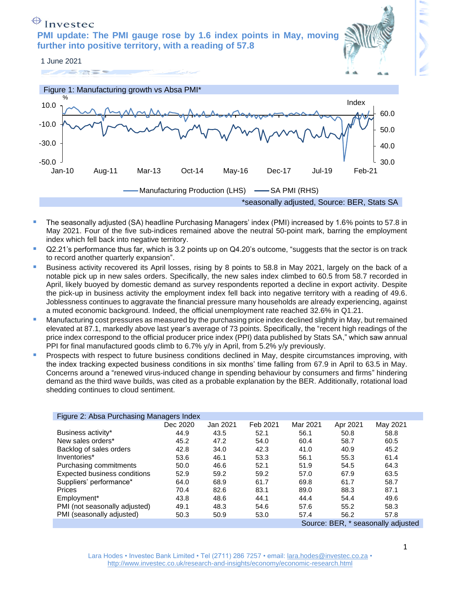# $\bigoplus$  Investec

**PMI update: The PMI gauge rose by 1.6 index points in May, moving further into positive territory, with a reading of 57.8** 









- The seasonally adjusted (SA) headline Purchasing Managers' index (PMI) increased by 1.6% points to 57.8 in May 2021. Four of the five sub-indices remained above the neutral 50-point mark, barring the employment index which fell back into negative territory.
- Q2.21's performance thus far, which is 3.2 points up on Q4.20's outcome, "suggests that the sector is on track to record another quarterly expansion".
- Business activity recovered its April losses, rising by 8 points to 58.8 in May 2021, largely on the back of a notable pick up in new sales orders. Specifically, the new sales index climbed to 60.5 from 58.7 recorded in April, likely buoyed by domestic demand as survey respondents reported a decline in export activity. Despite the pick-up in business activity the employment index fell back into negative territory with a reading of 49.6. Joblessness continues to aggravate the financial pressure many households are already experiencing, against a muted economic background. Indeed, the official unemployment rate reached 32.6% in Q1.21.
- Manufacturing cost pressures as measured by the purchasing price index declined slightly in May, but remained elevated at 87.1, markedly above last year's average of 73 points. Specifically, the "recent high readings of the price index correspond to the official producer price index (PPI) data published by Stats SA," which saw annual PPI for final manufactured goods climb to 6.7% y/y in April, from 5.2% y/y previously.
- Prospects with respect to future business conditions declined in May, despite circumstances improving, with the index tracking expected business conditions in six months' time falling from 67.9 in April to 63.5 in May. Concerns around a "renewed virus-induced change in spending behaviour by consumers and firms" hindering demand as the third wave builds, was cited as a probable explanation by the BER. Additionally, rotational load shedding continues to cloud sentiment.

| Figure 2: Absa Purchasing Managers Index |          |          |          |          |          |          |
|------------------------------------------|----------|----------|----------|----------|----------|----------|
|                                          | Dec 2020 | Jan 2021 | Feb 2021 | Mar 2021 | Apr 2021 | May 2021 |
| Business activity*                       | 44.9     | 43.5     | 52.1     | 56.1     | 50.8     | 58.8     |
| New sales orders*                        | 45.2     | 47.2     | 54.0     | 60.4     | 58.7     | 60.5     |
| Backlog of sales orders                  | 42.8     | 34.0     | 42.3     | 41.0     | 40.9     | 45.2     |
| Inventories*                             | 53.6     | 46.1     | 53.3     | 56.1     | 55.3     | 61.4     |
| Purchasing commitments                   | 50.0     | 46.6     | 52.1     | 51.9     | 54.5     | 64.3     |
| Expected business conditions             | 52.9     | 59.2     | 59.2     | 57.0     | 67.9     | 63.5     |
| Suppliers' performance*                  | 64.0     | 68.9     | 61.7     | 69.8     | 61.7     | 58.7     |
| Prices                                   | 70.4     | 82.6     | 83.1     | 89.0     | 88.3     | 87.1     |
| Employment*                              | 43.8     | 48.6     | 44.1     | 44.4     | 54.4     | 49.6     |
| PMI (not seasonally adjusted)            | 49.1     | 48.3     | 54.6     | 57.6     | 55.2     | 58.3     |
| PMI (seasonally adjusted)                | 50.3     | 50.9     | 53.0     | 57.4     | 56.2     | 57.8     |
| Source: BER, * seasonally adjusted       |          |          |          |          |          |          |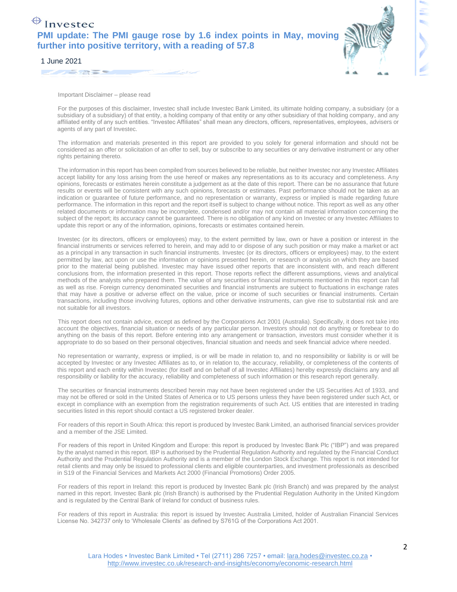## $\bigoplus$  Investec **PMI update: The PMI gauge rose by 1.6 index points in May, moving further into positive territory, with a reading of 57.8**



#### 1 June 2021

Important Disclaimer – please read

For the purposes of this disclaimer, Investec shall include Investec Bank Limited, its ultimate holding company, a subsidiary (or a subsidiary of a subsidiary) of that entity, a holding company of that entity or any other subsidiary of that holding company, and any affiliated entity of any such entities. "Investec Affiliates" shall mean any directors, officers, representatives, employees, advisers or agents of any part of Investec.

The information and materials presented in this report are provided to you solely for general information and should not be considered as an offer or solicitation of an offer to sell, buy or subscribe to any securities or any derivative instrument or any other rights pertaining thereto.

The information in this report has been compiled from sources believed to be reliable, but neither Investec nor any Investec Affiliates accept liability for any loss arising from the use hereof or makes any representations as to its accuracy and completeness. Any opinions, forecasts or estimates herein constitute a judgement as at the date of this report. There can be no assurance that future results or events will be consistent with any such opinions, forecasts or estimates. Past performance should not be taken as an indication or guarantee of future performance, and no representation or warranty, express or implied is made regarding future performance. The information in this report and the report itself is subject to change without notice. This report as well as any other related documents or information may be incomplete, condensed and/or may not contain all material information concerning the subject of the report; its accuracy cannot be guaranteed. There is no obligation of any kind on Investec or any Investec Affiliates to update this report or any of the information, opinions, forecasts or estimates contained herein.

Investec (or its directors, officers or employees) may, to the extent permitted by law, own or have a position or interest in the financial instruments or services referred to herein, and may add to or dispose of any such position or may make a market or act as a principal in any transaction in such financial instruments. Investec (or its directors, officers or employees) may, to the extent permitted by law, act upon or use the information or opinions presented herein, or research or analysis on which they are based prior to the material being published. Investec may have issued other reports that are inconsistent with, and reach different conclusions from, the information presented in this report. Those reports reflect the different assumptions, views and analytical methods of the analysts who prepared them. The value of any securities or financial instruments mentioned in this report can fall as well as rise. Foreign currency denominated securities and financial instruments are subject to fluctuations in exchange rates that may have a positive or adverse effect on the value, price or income of such securities or financial instruments. Certain transactions, including those involving futures, options and other derivative instruments, can give rise to substantial risk and are not suitable for all investors.

This report does not contain advice, except as defined by the Corporations Act 2001 (Australia). Specifically, it does not take into account the objectives, financial situation or needs of any particular person. Investors should not do anything or forebear to do anything on the basis of this report. Before entering into any arrangement or transaction, investors must consider whether it is appropriate to do so based on their personal objectives, financial situation and needs and seek financial advice where needed.

No representation or warranty, express or implied, is or will be made in relation to, and no responsibility or liability is or will be accepted by Investec or any Investec Affiliates as to, or in relation to, the accuracy, reliability, or completeness of the contents of this report and each entity within Investec (for itself and on behalf of all Investec Affiliates) hereby expressly disclaims any and all responsibility or liability for the accuracy, reliability and completeness of such information or this research report generally.

The securities or financial instruments described herein may not have been registered under the US Securities Act of 1933, and may not be offered or sold in the United States of America or to US persons unless they have been registered under such Act, or except in compliance with an exemption from the registration requirements of such Act. US entities that are interested in trading securities listed in this report should contact a US registered broker dealer.

For readers of this report in South Africa: this report is produced by Investec Bank Limited, an authorised financial services provider and a member of the JSE Limited.

For readers of this report in United Kingdom and Europe: this report is produced by Investec Bank Plc ("IBP") and was prepared by the analyst named in this report. IBP is authorised by the Prudential Regulation Authority and regulated by the Financial Conduct Authority and the Prudential Regulation Authority and is a member of the London Stock Exchange. This report is not intended for retail clients and may only be issued to professional clients and eligible counterparties, and investment professionals as described in S19 of the Financial Services and Markets Act 2000 (Financial Promotions) Order 2005.

For readers of this report in Ireland: this report is produced by Investec Bank plc (Irish Branch) and was prepared by the analyst named in this report. Investec Bank plc (Irish Branch) is authorised by the Prudential Regulation Authority in the United Kingdom and is regulated by the Central Bank of Ireland for conduct of business rules.

For readers of this report in Australia: this report is issued by Investec Australia Limited, holder of Australian Financial Services License No. 342737 only to 'Wholesale Clients' as defined by S761G of the Corporations Act 2001.